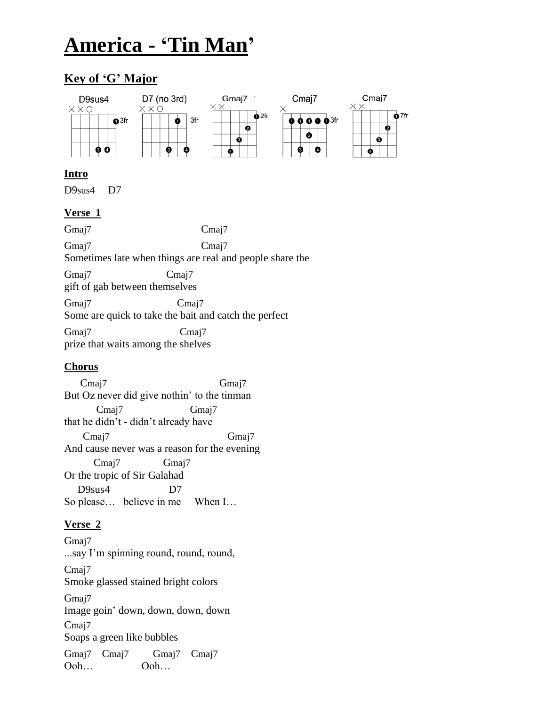# **America - 'Tin Man'**

# **Key of 'G' Major**



### **Intro**

D9sus4 D7

# **Verse 1**

Gmaj7 Cmaj7 Gmaj7 Cmaj7 Sometimes late when things are real and people share the Gmaj7 Cmaj7 gift of gab between themselves Gmaj7 Cmaj7 Some are quick to take the bait and catch the perfect Gmaj7 Cmaj7 prize that waits among the shelves

# **Chorus**

 Cmaj7 Gmaj7 But Oz never did give nothin' to the tinman Cmaj7 Gmaj7 that he didn't - didn't already have Cmaj7 Gmaj7 And cause never was a reason for the evening Cmaj7 Gmaj7 Or the tropic of Sir Galahad D9sus4 D7 So please… believe in me When I…

# **Verse 2**

Gmaj7 ...say I'm spinning round, round, round, Cma<sub>i</sub>7 Smoke glassed stained bright colors Gmaj7 Image goin' down, down, down, down Cma<sub>j</sub>7 Soaps a green like bubbles Gmaj7 Cmaj7 Gmaj7 Cmaj7 Ooh… Ooh…